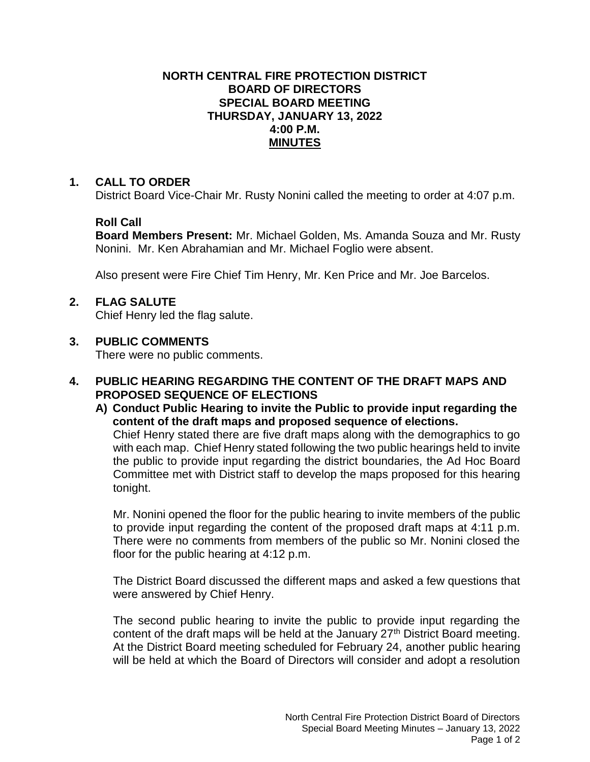#### **NORTH CENTRAL FIRE PROTECTION DISTRICT BOARD OF DIRECTORS SPECIAL BOARD MEETING THURSDAY, JANUARY 13, 2022 4:00 P.M. MINUTES**

#### **1. CALL TO ORDER**

District Board Vice-Chair Mr. Rusty Nonini called the meeting to order at 4:07 p.m.

# **Roll Call**

**Board Members Present:** Mr. Michael Golden, Ms. Amanda Souza and Mr. Rusty Nonini. Mr. Ken Abrahamian and Mr. Michael Foglio were absent.

Also present were Fire Chief Tim Henry, Mr. Ken Price and Mr. Joe Barcelos.

# **2. FLAG SALUTE**

Chief Henry led the flag salute.

#### **3. PUBLIC COMMENTS**

There were no public comments.

# **4. PUBLIC HEARING REGARDING THE CONTENT OF THE DRAFT MAPS AND PROPOSED SEQUENCE OF ELECTIONS**

**A) Conduct Public Hearing to invite the Public to provide input regarding the content of the draft maps and proposed sequence of elections.**

Chief Henry stated there are five draft maps along with the demographics to go with each map. Chief Henry stated following the two public hearings held to invite the public to provide input regarding the district boundaries, the Ad Hoc Board Committee met with District staff to develop the maps proposed for this hearing tonight.

Mr. Nonini opened the floor for the public hearing to invite members of the public to provide input regarding the content of the proposed draft maps at 4:11 p.m. There were no comments from members of the public so Mr. Nonini closed the floor for the public hearing at 4:12 p.m.

The District Board discussed the different maps and asked a few questions that were answered by Chief Henry.

The second public hearing to invite the public to provide input regarding the content of the draft maps will be held at the January 27<sup>th</sup> District Board meeting. At the District Board meeting scheduled for February 24, another public hearing will be held at which the Board of Directors will consider and adopt a resolution